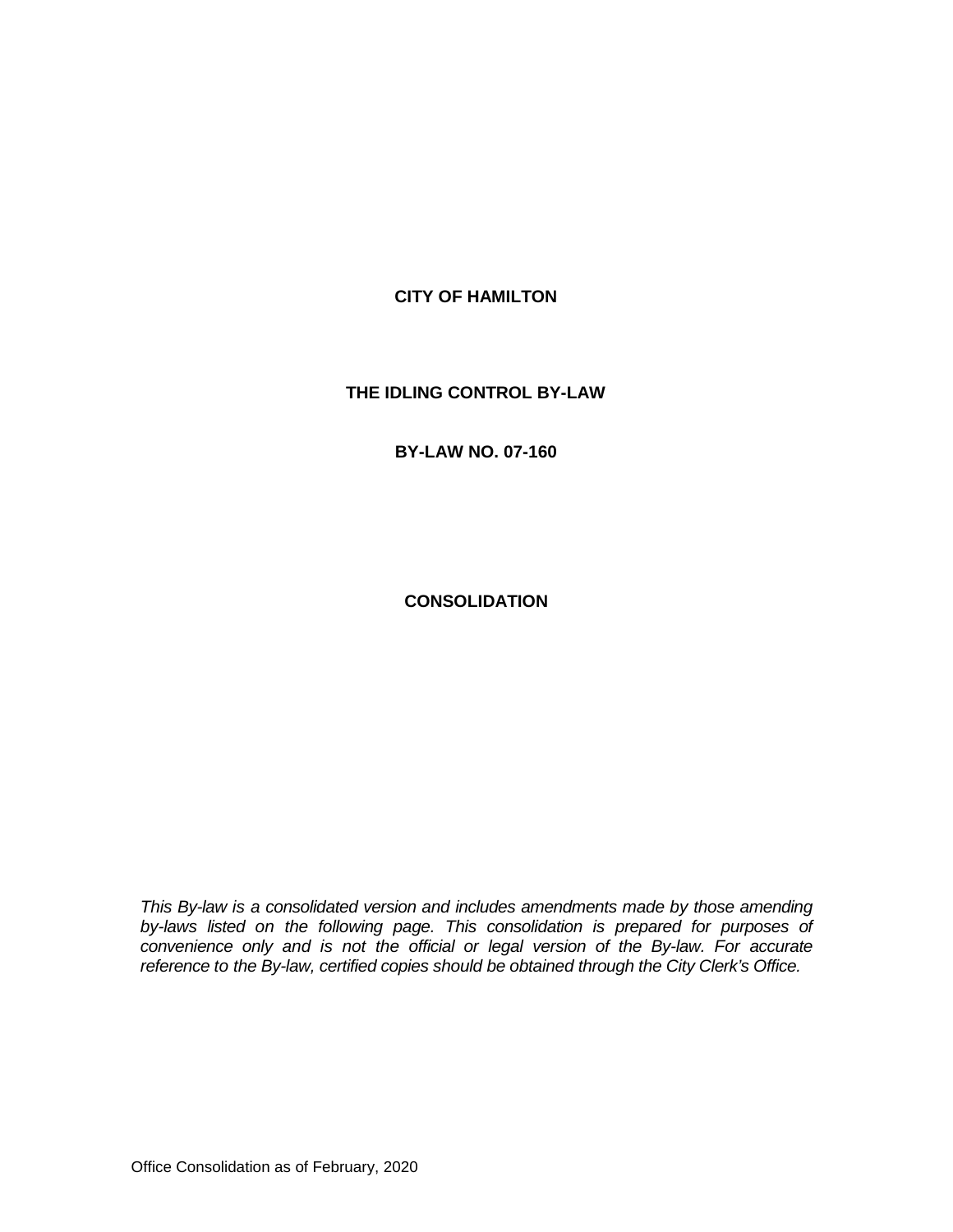### **CITY OF HAMILTON**

#### **THE IDLING CONTROL BY-LAW**

#### **BY-LAW NO. 07-160**

**CONSOLIDATION**

*This By-law is a consolidated version and includes amendments made by those amending* by-laws listed on the following page. This consolidation is prepared for purposes of convenience only and is not the official or legal version of the By-law. For accurate *reference to the By-law, certified copies should be obtained through the City Clerk's Office.*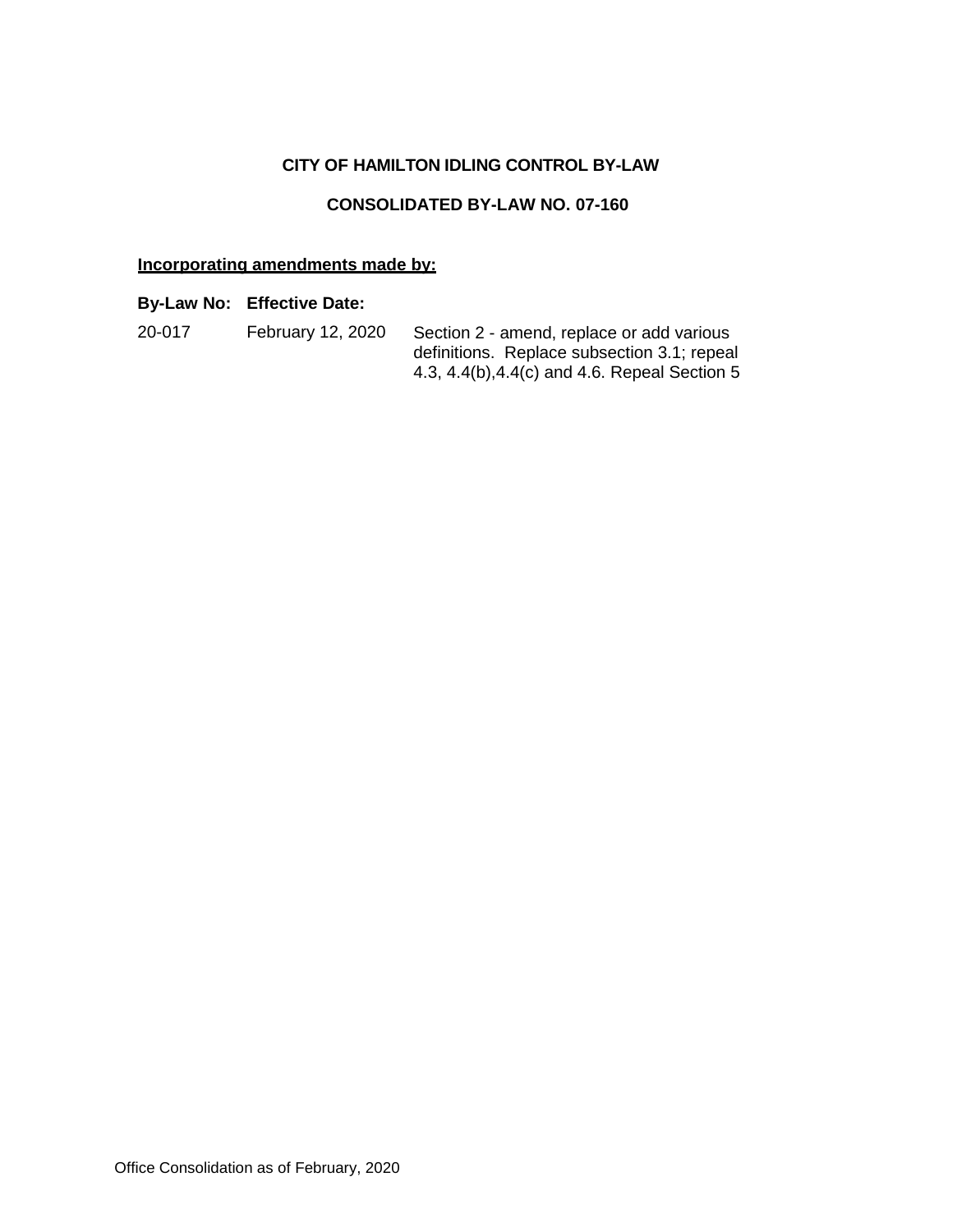# **CITY OF HAMILTON IDLING CONTROL BY-LAW**

## **CONSOLIDATED BY-LAW NO. 07-160**

# **Incorporating amendments made by:**

# **By-Law No: Effective Date:**

| 20-017 | February 12, 2020 | Section 2 - amend, replace or add various     |
|--------|-------------------|-----------------------------------------------|
|        |                   | definitions. Replace subsection 3.1; repeal   |
|        |                   | 4.3, 4.4(b), 4.4(c) and 4.6. Repeal Section 5 |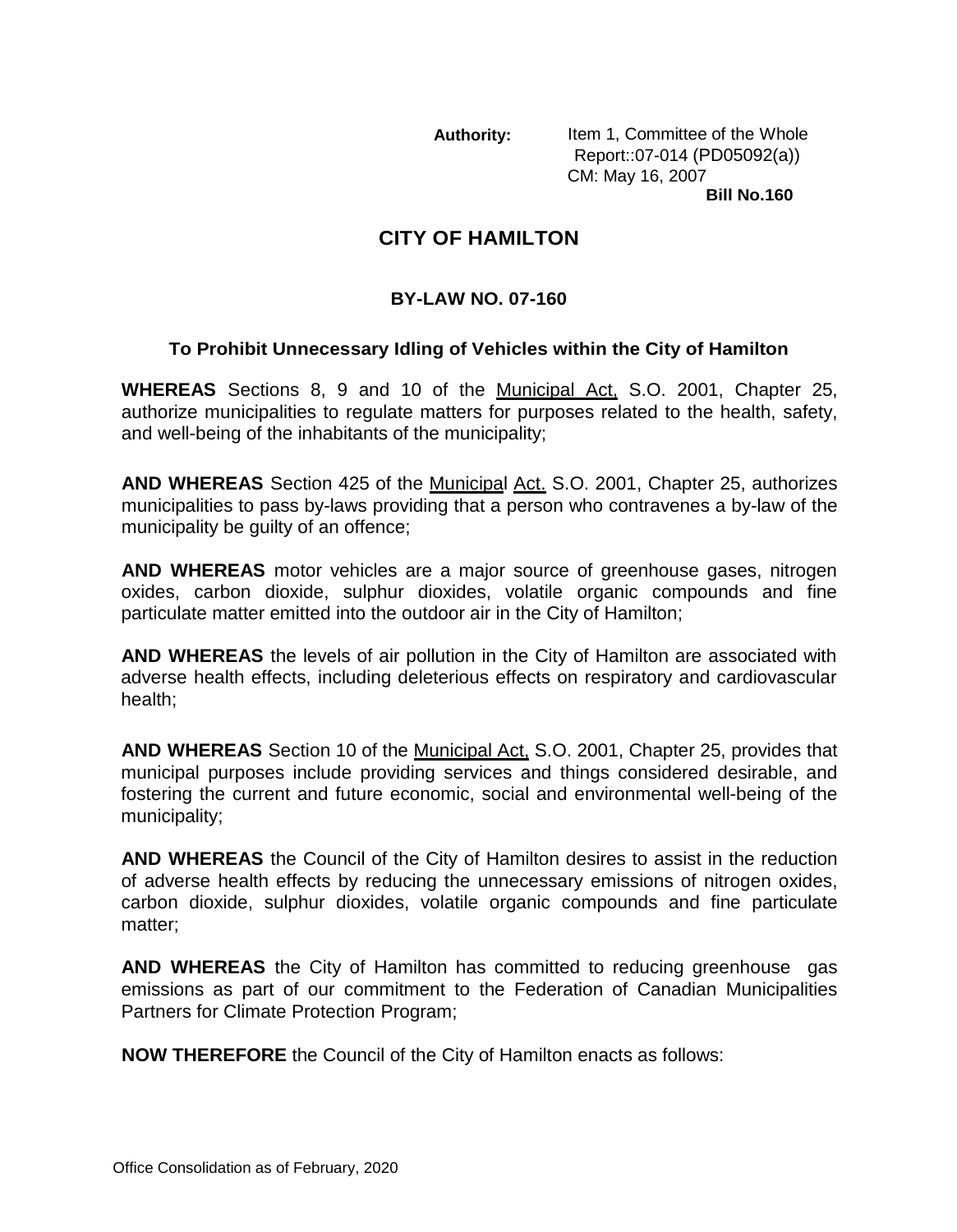**Authority:** Item 1, Committee of the Whole Report::07-014 (PD05092(a)) CM: May 16, 2007 **Bill No.160**

# **CITY OF HAMILTON**

# **BY-LAW NO. 07-160**

# **To Prohibit Unnecessary Idling of Vehicles within the City of Hamilton**

**WHEREAS** Sections 8, 9 and 10 of the Municipal Act, S.O. 2001, Chapter 25, authorize municipalities to regulate matters for purposes related to the health, safety, and well-being of the inhabitants of the municipality;

**AND WHEREAS** Section 425 of the Municipal Act. S.O. 2001, Chapter 25, authorizes municipalities to pass by-laws providing that a person who contravenes a by-law of the municipality be guilty of an offence;

**AND WHEREAS** motor vehicles are a major source of greenhouse gases, nitrogen oxides, carbon dioxide, sulphur dioxides, volatile organic compounds and fine particulate matter emitted into the outdoor air in the City of Hamilton;

**AND WHEREAS** the levels of air pollution in the City of Hamilton are associated with adverse health effects, including deleterious effects on respiratory and cardiovascular health;

**AND WHEREAS** Section 10 of the Municipal Act, S.O. 2001, Chapter 25, provides that municipal purposes include providing services and things considered desirable, and fostering the current and future economic, social and environmental well-being of the municipality;

**AND WHEREAS** the Council of the City of Hamilton desires to assist in the reduction of adverse health effects by reducing the unnecessary emissions of nitrogen oxides, carbon dioxide, sulphur dioxides, volatile organic compounds and fine particulate matter;

**AND WHEREAS** the City of Hamilton has committed to reducing greenhouse gas emissions as part of our commitment to the Federation of Canadian Municipalities Partners for Climate Protection Program;

**NOW THEREFORE** the Council of the City of Hamilton enacts as follows: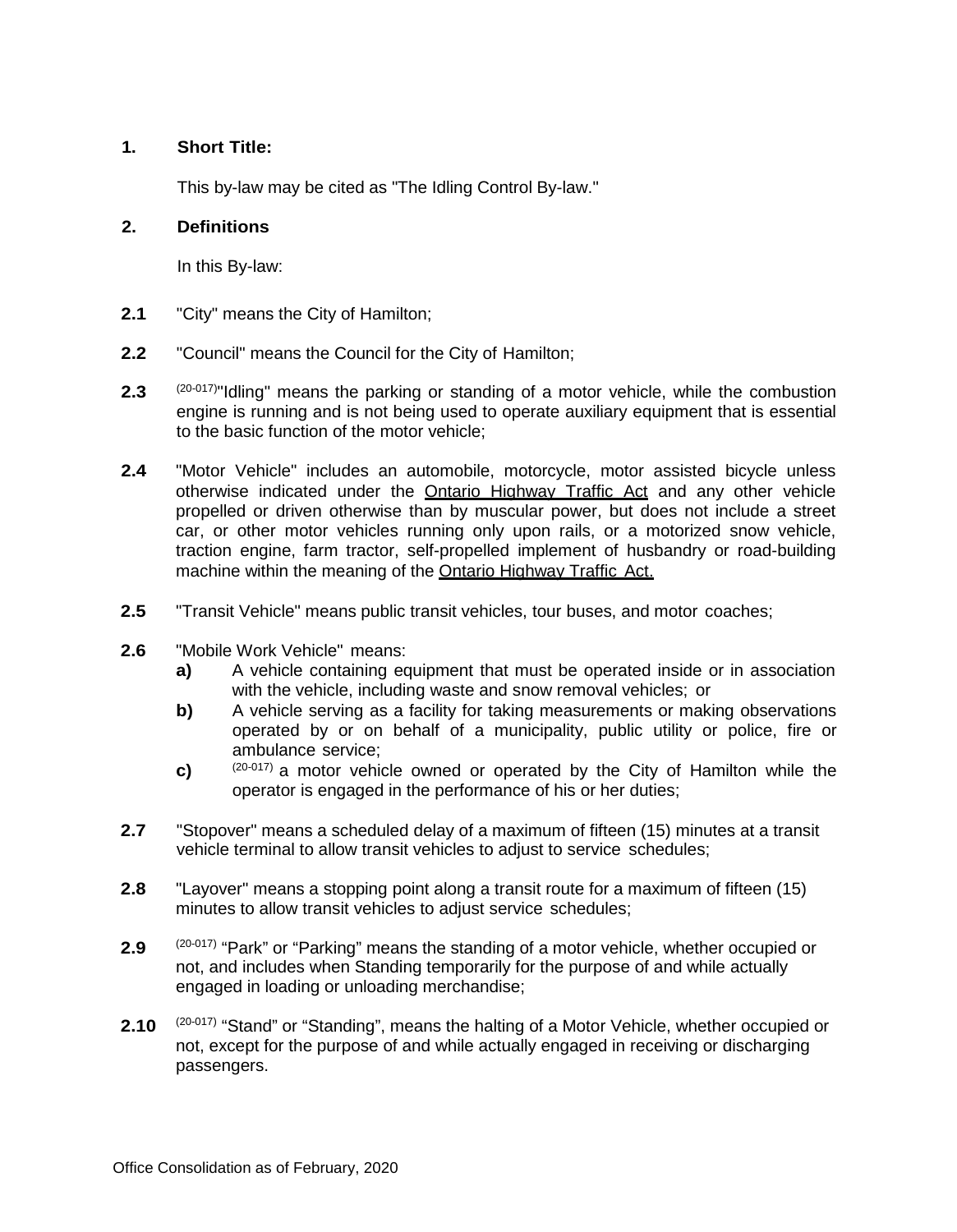### **1. Short Title:**

This by-law may be cited as "The Idling Control By-law."

#### **2. Definitions**

In this By-law:

- **2.1** "City" means the City of Hamilton;
- **2.2** "Council" means the Council for the City of Hamilton;
- **2.3** (20-017)"Idling" means the parking or standing of a motor vehicle, while the combustion engine is running and is not being used to operate auxiliary equipment that is essential to the basic function of the motor vehicle;
- **2.4** "Motor Vehicle" includes an automobile, motorcycle, motor assisted bicycle unless otherwise indicated under the Ontario Highway Traffic Act and any other vehicle propelled or driven otherwise than by muscular power, but does not include a street car, or other motor vehicles running only upon rails, or a motorized snow vehicle, traction engine, farm tractor, self-propelled implement of husbandry or road-building machine within the meaning of the Ontario Highway Traffic Act.
- **2.5** "Transit Vehicle" means public transit vehicles, tour buses, and motor coaches;
- **2.6** "Mobile Work Vehicle" means:
	- **a)** A vehicle containing equipment that must be operated inside or in association with the vehicle, including waste and snow removal vehicles; or
	- **b)** A vehicle serving as a facility for taking measurements or making observations operated by or on behalf of a municipality, public utility or police, fire or ambulance service;
	- **c)** (20-017) a motor vehicle owned or operated by the City of Hamilton while the operator is engaged in the performance of his or her duties;
- **2.7** "Stopover" means a scheduled delay of a maximum of fifteen (15) minutes at a transit vehicle terminal to allow transit vehicles to adjust to service schedules;
- **2.8** "Layover" means a stopping point along a transit route for a maximum of fifteen (15) minutes to allow transit vehicles to adjust service schedules;
- **2.9** (20-017) "Park" or "Parking" means the standing of a motor vehicle, whether occupied or not, and includes when Standing temporarily for the purpose of and while actually engaged in loading or unloading merchandise;
- 2.10 <sup>(20-017)</sup> "Stand" or "Standing", means the halting of a Motor Vehicle, whether occupied or not, except for the purpose of and while actually engaged in receiving or discharging passengers.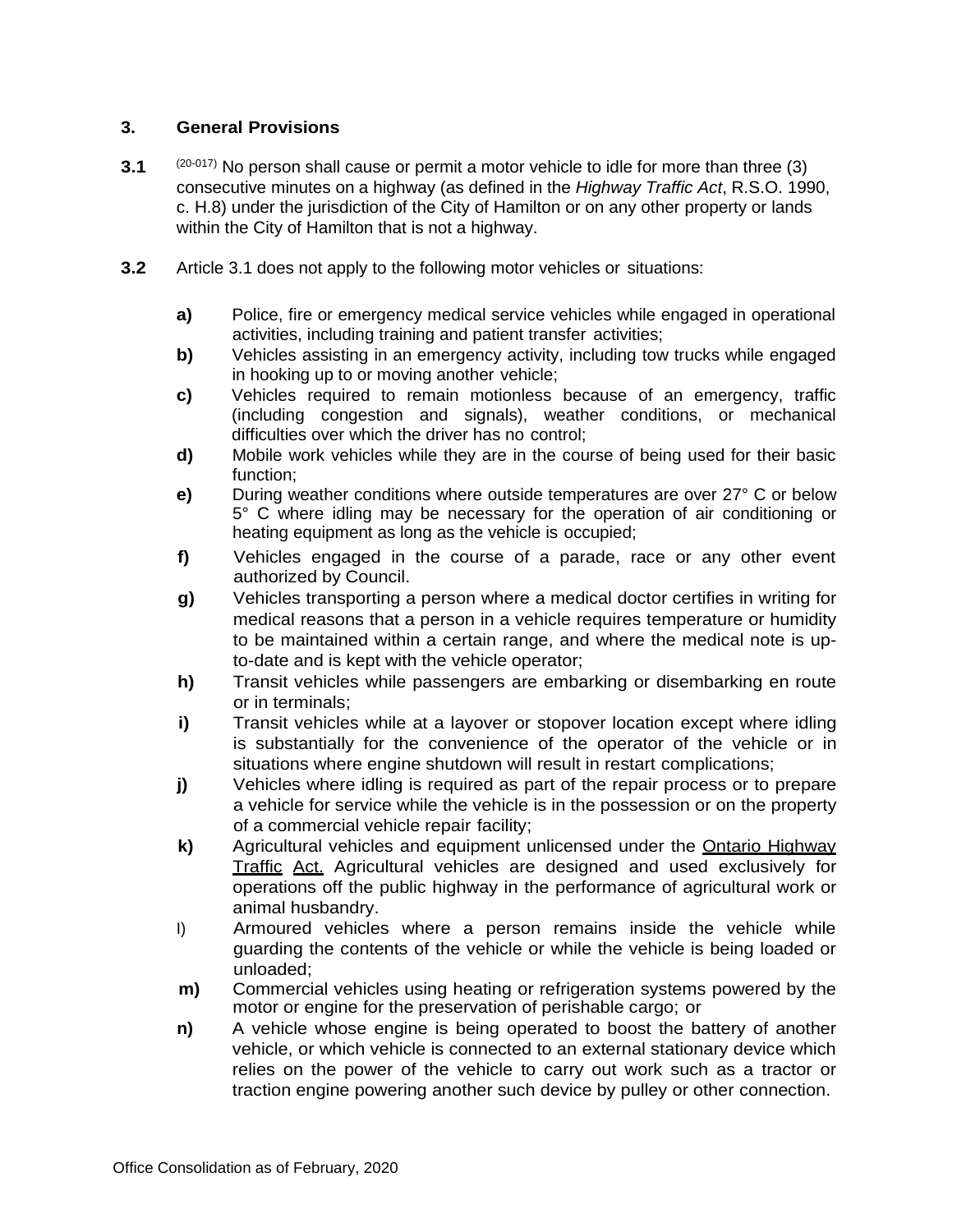## **3. General Provisions**

- **3.1** (20-017) No person shall cause or permit a motor vehicle to idle for more than three (3) consecutive minutes on a highway (as defined in the *Highway Traffic Act*, R.S.O. 1990, c. H.8) under the jurisdiction of the City of Hamilton or on any other property or lands within the City of Hamilton that is not a highway.
- **3.2** Article 3.1 does not apply to the following motor vehicles or situations:
	- **a)** Police, fire or emergency medical service vehicles while engaged in operational activities, including training and patient transfer activities;
	- **b)** Vehicles assisting in an emergency activity, including tow trucks while engaged in hooking up to or moving another vehicle;
	- **c)** Vehicles required to remain motionless because of an emergency, traffic (including congestion and signals), weather conditions, or mechanical difficulties over which the driver has no control;
	- **d)** Mobile work vehicles while they are in the course of being used for their basic function;
	- **e)** During weather conditions where outside temperatures are over 27° C or below 5° C where idling may be necessary for the operation of air conditioning or heating equipment as long as the vehicle is occupied;
	- **f)** Vehicles engaged in the course of a parade, race or any other event authorized by Council.
	- **g)** Vehicles transporting a person where a medical doctor certifies in writing for medical reasons that a person in a vehicle requires temperature or humidity to be maintained within a certain range, and where the medical note is upto-date and is kept with the vehicle operator;
	- **h)** Transit vehicles while passengers are embarking or disembarking en route or in terminals;
	- **i)** Transit vehicles while at a layover or stopover location except where idling is substantially for the convenience of the operator of the vehicle or in situations where engine shutdown will result in restart complications;
	- **j)** Vehicles where idling is required as part of the repair process or to prepare a vehicle for service while the vehicle is in the possession or on the property of a commercial vehicle repair facility;
	- **k)** Agricultural vehicles and equipment unlicensed under the Ontario Highway Traffic Act. Agricultural vehicles are designed and used exclusively for operations off the public highway in the performance of agricultural work or animal husbandry.
	- I) Armoured vehicles where a person remains inside the vehicle while guarding the contents of the vehicle or while the vehicle is being loaded or unloaded;
	- **m)** Commercial vehicles using heating or refrigeration systems powered by the motor or engine for the preservation of perishable cargo; or
	- **n)** A vehicle whose engine is being operated to boost the battery of another vehicle, or which vehicle is connected to an external stationary device which relies on the power of the vehicle to carry out work such as a tractor or traction engine powering another such device by pulley or other connection.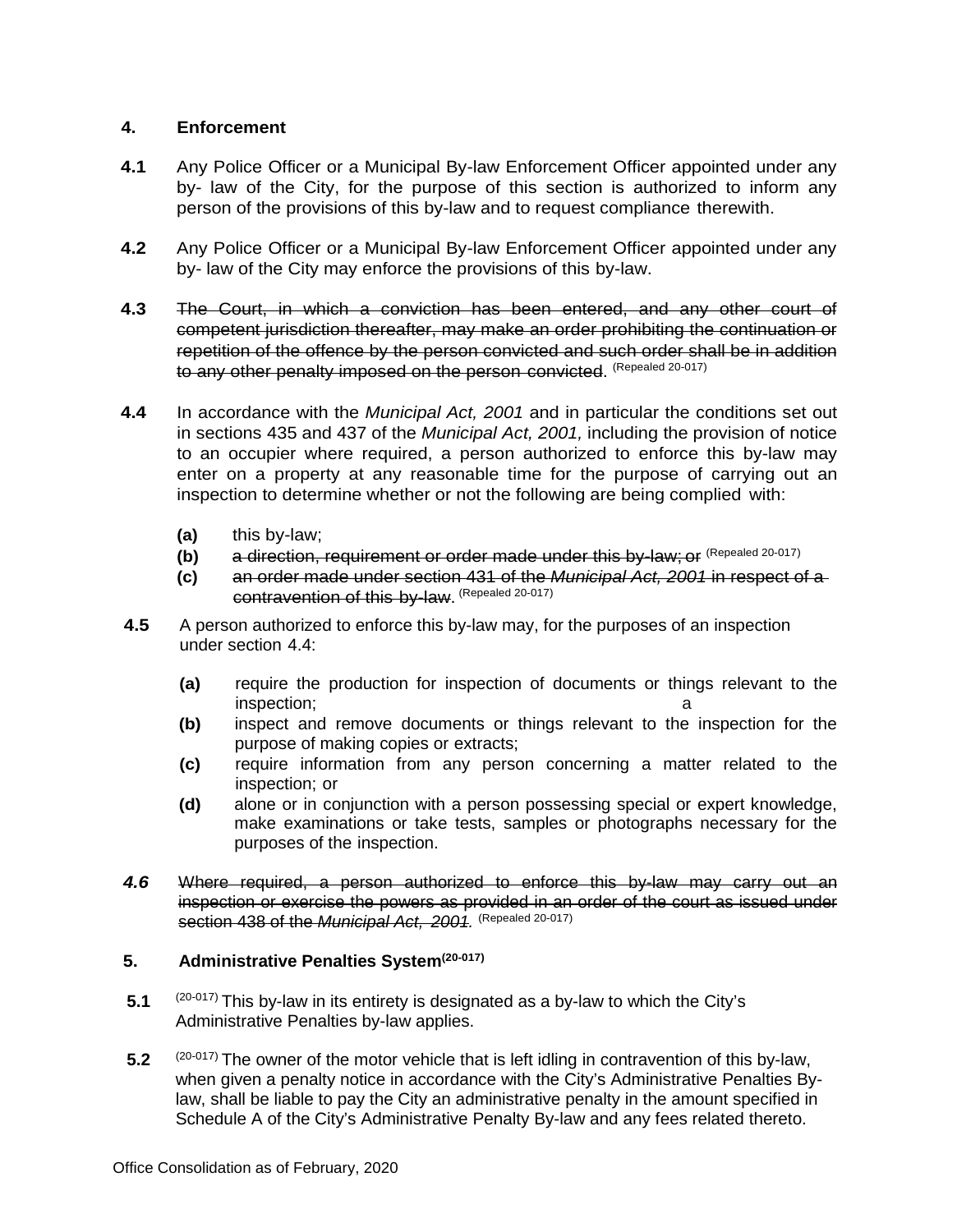## **4. Enforcement**

- **4.1** Any Police Officer or a Municipal By-law Enforcement Officer appointed under any by- law of the City, for the purpose of this section is authorized to inform any person of the provisions of this by-law and to request compliance therewith.
- **4.2** Any Police Officer or a Municipal By-law Enforcement Officer appointed under any by- law of the City may enforce the provisions of this by-law.
- **4.3** The Court, in which a conviction has been entered, and any other court of competent jurisdiction thereafter, may make an order prohibiting the continuation or repetition of the offence by the person convicted and such order shall be in addition to any other penalty imposed on the person convicted. (Repealed 20-017)
- **4.4** In accordance with the *Municipal Act, 2001* and in particular the conditions set out in sections 435 and 437 of the *Municipal Act, 2001,* including the provision of notice to an occupier where required, a person authorized to enforce this by-law may enter on a property at any reasonable time for the purpose of carrying out an inspection to determine whether or not the following are being complied with:
	- **(a)** this by-law;
	- **(b)** a direction, requirement or order made under this by-law; or (Repealed 20-017)
	- **(c)** an order made under section 431 of the *Municipal Act, 2001* in respect of a contravention of this by-law. (Repealed 20-017)
- **4.5** A person authorized to enforce this by-law may, for the purposes of an inspection under section 4.4:
	- **(a)** require the production for inspection of documents or things relevant to the inspection:
	- **(b)** inspect and remove documents or things relevant to the inspection for the purpose of making copies or extracts;
	- **(c)** require information from any person concerning a matter related to the inspection; or
	- **(d)** alone or in conjunction with a person possessing special or expert knowledge, make examinations or take tests, samples or photographs necessary for the purposes of the inspection.
- *4.6* Where required, a person authorized to enforce this by-law may carry out an inspection or exercise the powers as provided in an order of the court as issued under section 438 of the *Municipal Act, 2001.* (Repealed 20-017)

### **5. Administrative Penalties System(20-017)**

- **5.1** (20-017) This by-law in its entirety is designated as a by-law to which the City's Administrative Penalties by-law applies.
- 5.2 (20-017) The owner of the motor vehicle that is left idling in contravention of this by-law, when given a penalty notice in accordance with the City's Administrative Penalties Bylaw, shall be liable to pay the City an administrative penalty in the amount specified in Schedule A of the City's Administrative Penalty By-law and any fees related thereto.